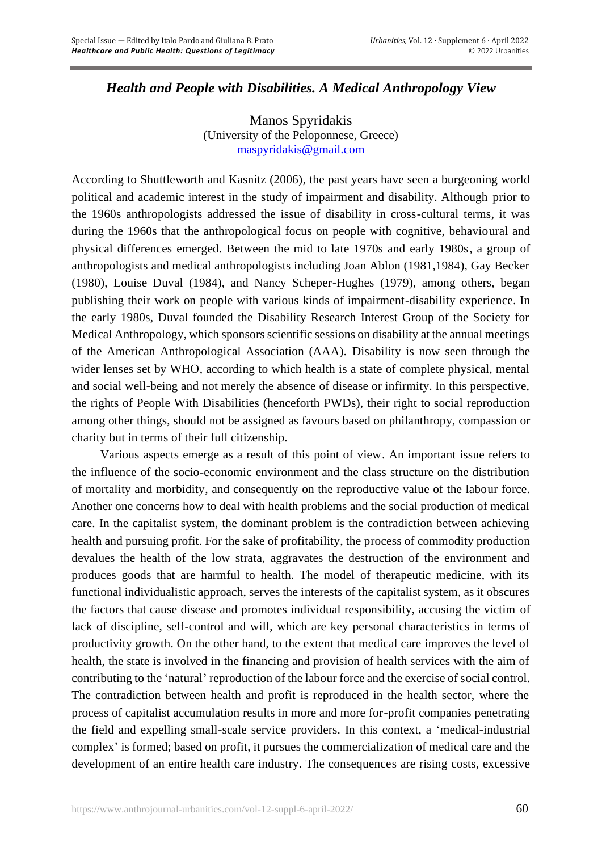## *Health and People with Disabilities. A Medical Anthropology View*

Manos Spyridakis (University of the Peloponnese, Greece) [maspyridakis@gmail.com](mailto:maspyridakis@gmail.com)

According to Shuttleworth and Kasnitz (2006), the past years have seen a burgeoning world political and academic interest in the study of impairment and disability. Although prior to the 1960s anthropologists addressed the issue of disability in cross-cultural terms, it was during the 1960s that the anthropological focus on people with cognitive, behavioural and physical differences emerged. Between the mid to late 1970s and early 1980s, a group of anthropologists and medical anthropologists including Joan Ablon (1981,1984), Gay Becker (1980), Louise Duval (1984), and Nancy Scheper-Hughes (1979), among others, began publishing their work on people with various kinds of impairment-disability experience. In the early 1980s, Duval founded the Disability Research Interest Group of the Society for Medical Anthropology, which sponsors scientific sessions on disability at the annual meetings of the American Anthropological Association (AAA). Disability is now seen through the wider lenses set by WHO, according to which health is a state of complete physical, mental and social well-being and not merely the absence of disease or infirmity. In this perspective, the rights of People With Disabilities (henceforth PWDs), their right to social reproduction among other things, should not be assigned as favours based on philanthropy, compassion or charity but in terms of their full citizenship.

Various aspects emerge as a result of this point of view. An important issue refers to the influence of the socio-economic environment and the class structure on the distribution of mortality and morbidity, and consequently on the reproductive value of the labour force. Another one concerns how to deal with health problems and the social production of medical care. In the capitalist system, the dominant problem is the contradiction between achieving health and pursuing profit. For the sake of profitability, the process of commodity production devalues the health of the low strata, aggravates the destruction of the environment and produces goods that are harmful to health. The model of therapeutic medicine, with its functional individualistic approach, serves the interests of the capitalist system, as it obscures the factors that cause disease and promotes individual responsibility, accusing the victim of lack of discipline, self-control and will, which are key personal characteristics in terms of productivity growth. On the other hand, to the extent that medical care improves the level of health, the state is involved in the financing and provision of health services with the aim of contributing to the 'natural' reproduction of the labour force and the exercise of social control. The contradiction between health and profit is reproduced in the health sector, where the process of capitalist accumulation results in more and more for-profit companies penetrating the field and expelling small-scale service providers. In this context, a 'medical-industrial complex' is formed; based on profit, it pursues the commercialization of medical care and the development of an entire health care industry. The consequences are rising costs, excessive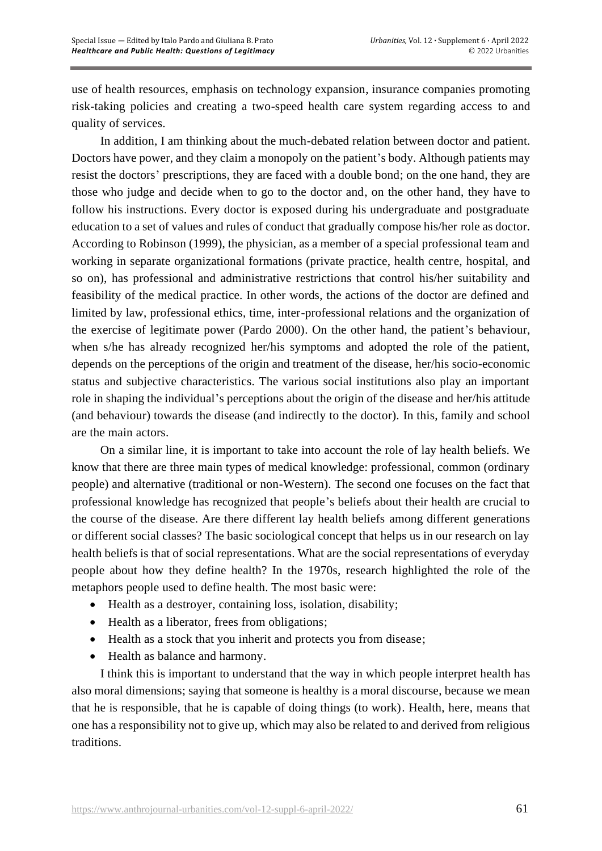use of health resources, emphasis on technology expansion, insurance companies promoting risk-taking policies and creating a two-speed health care system regarding access to and quality of services.

In addition, I am thinking about the much-debated relation between doctor and patient. Doctors have power, and they claim a monopoly on the patient's body. Although patients may resist the doctors' prescriptions, they are faced with a double bond; on the one hand, they are those who judge and decide when to go to the doctor and, on the other hand, they have to follow his instructions. Every doctor is exposed during his undergraduate and postgraduate education to a set of values and rules of conduct that gradually compose his/her role as doctor. According to Robinson (1999), the physician, as a member of a special professional team and working in separate organizational formations (private practice, health centre, hospital, and so on), has professional and administrative restrictions that control his/her suitability and feasibility of the medical practice. In other words, the actions of the doctor are defined and limited by law, professional ethics, time, inter-professional relations and the organization of the exercise of legitimate power (Pardo 2000). On the other hand, the patient's behaviour, when s/he has already recognized her/his symptoms and adopted the role of the patient, depends on the perceptions of the origin and treatment of the disease, her/his socio-economic status and subjective characteristics. The various social institutions also play an important role in shaping the individual's perceptions about the origin of the disease and her/his attitude (and behaviour) towards the disease (and indirectly to the doctor). In this, family and school are the main actors.

On a similar line, it is important to take into account the role of lay health beliefs. We know that there are three main types of medical knowledge: professional, common (ordinary people) and alternative (traditional or non-Western). The second one focuses on the fact that professional knowledge has recognized that people's beliefs about their health are crucial to the course of the disease. Are there different lay health beliefs among different generations or different social classes? The basic sociological concept that helps us in our research on lay health beliefs is that of social representations. What are the social representations of everyday people about how they define health? In the 1970s, research highlighted the role of the metaphors people used to define health. The most basic were:

- Health as a destroyer, containing loss, isolation, disability;
- Health as a liberator, frees from obligations;
- Health as a stock that you inherit and protects you from disease;
- Health as balance and harmony.

I think this is important to understand that the way in which people interpret health has also moral dimensions; saying that someone is healthy is a moral discourse, because we mean that he is responsible, that he is capable of doing things (to work). Health, here, means that one has a responsibility not to give up, which may also be related to and derived from religious traditions.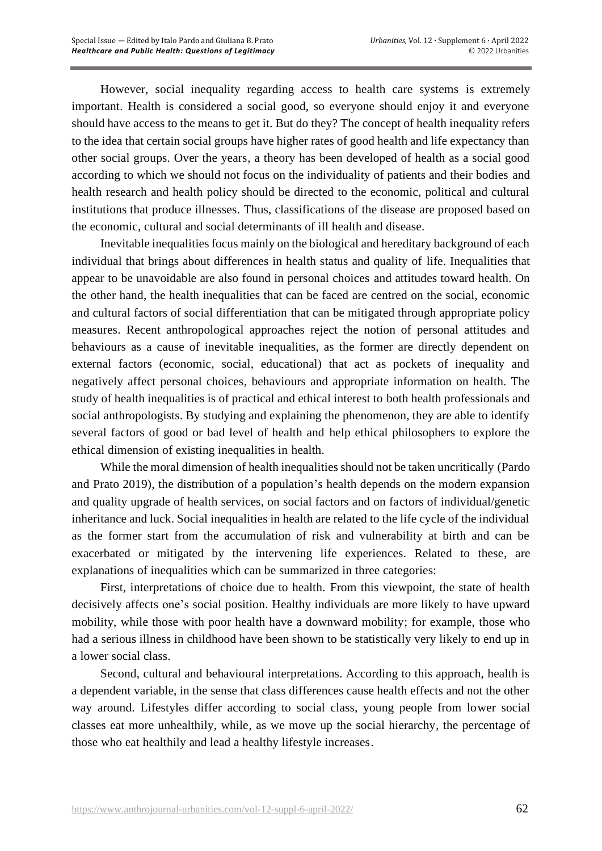However, social inequality regarding access to health care systems is extremely important. Health is considered a social good, so everyone should enjoy it and everyone should have access to the means to get it. But do they? The concept of health inequality refers to the idea that certain social groups have higher rates of good health and life expectancy than other social groups. Over the years, a theory has been developed of health as a social good according to which we should not focus on the individuality of patients and their bodies and health research and health policy should be directed to the economic, political and cultural institutions that produce illnesses. Thus, classifications of the disease are proposed based on the economic, cultural and social determinants of ill health and disease.

Inevitable inequalities focus mainly on the biological and hereditary background of each individual that brings about differences in health status and quality of life. Inequalities that appear to be unavoidable are also found in personal choices and attitudes toward health. On the other hand, the health inequalities that can be faced are centred on the social, economic and cultural factors of social differentiation that can be mitigated through appropriate policy measures. Recent anthropological approaches reject the notion of personal attitudes and behaviours as a cause of inevitable inequalities, as the former are directly dependent on external factors (economic, social, educational) that act as pockets of inequality and negatively affect personal choices, behaviours and appropriate information on health. The study of health inequalities is of practical and ethical interest to both health professionals and social anthropologists. By studying and explaining the phenomenon, they are able to identify several factors of good or bad level of health and help ethical philosophers to explore the ethical dimension of existing inequalities in health.

While the moral dimension of health inequalities should not be taken uncritically (Pardo and Prato 2019), the distribution of a population's health depends on the modern expansion and quality upgrade of health services, on social factors and on factors of individual/genetic inheritance and luck. Social inequalities in health are related to the life cycle of the individual as the former start from the accumulation of risk and vulnerability at birth and can be exacerbated or mitigated by the intervening life experiences. Related to these, are explanations of inequalities which can be summarized in three categories:

First, interpretations of choice due to health. From this viewpoint, the state of health decisively affects one's social position. Healthy individuals are more likely to have upward mobility, while those with poor health have a downward mobility; for example, those who had a serious illness in childhood have been shown to be statistically very likely to end up in a lower social class.

Second, cultural and behavioural interpretations. According to this approach, health is a dependent variable, in the sense that class differences cause health effects and not the other way around. Lifestyles differ according to social class, young people from lower social classes eat more unhealthily, while, as we move up the social hierarchy, the percentage of those who eat healthily and lead a healthy lifestyle increases.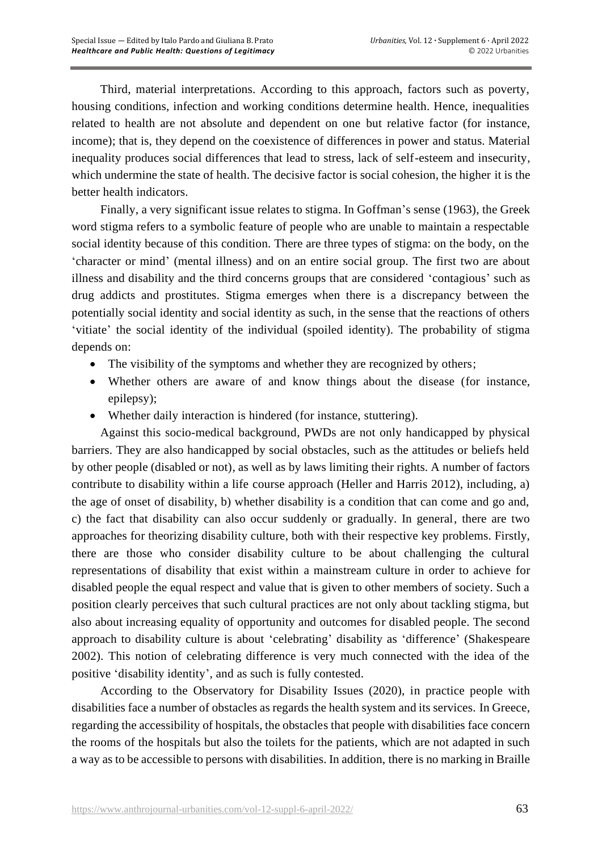Third, material interpretations. According to this approach, factors such as poverty, housing conditions, infection and working conditions determine health. Hence, inequalities related to health are not absolute and dependent on one but relative factor (for instance, income); that is, they depend on the coexistence of differences in power and status. Material inequality produces social differences that lead to stress, lack of self-esteem and insecurity, which undermine the state of health. The decisive factor is social cohesion, the higher it is the better health indicators.

Finally, a very significant issue relates to stigma. In Goffman's sense (1963), the Greek word stigma refers to a symbolic feature of people who are unable to maintain a respectable social identity because of this condition. There are three types of stigma: on the body, on the 'character or mind' (mental illness) and on an entire social group. The first two are about illness and disability and the third concerns groups that are considered 'contagious' such as drug addicts and prostitutes. Stigma emerges when there is a discrepancy between the potentially social identity and social identity as such, in the sense that the reactions of others 'vitiate' the social identity of the individual (spoiled identity). The probability of stigma depends on:

- The visibility of the symptoms and whether they are recognized by others;
- Whether others are aware of and know things about the disease (for instance, epilepsy);
- Whether daily interaction is hindered (for instance, stuttering).

Against this socio-medical background, PWDs are not only handicapped by physical barriers. They are also handicapped by social obstacles, such as the attitudes or beliefs held by other people (disabled or not), as well as by laws limiting their rights. A number of factors contribute to disability within a life course approach (Heller and Harris 2012), including, a) the age of onset of disability, b) whether disability is a condition that can come and go and, c) the fact that disability can also occur suddenly or gradually. In general, there are two approaches for theorizing disability culture, both with their respective key problems. Firstly, there are those who consider disability culture to be about challenging the cultural representations of disability that exist within a mainstream culture in order to achieve for disabled people the equal respect and value that is given to other members of society. Such a position clearly perceives that such cultural practices are not only about tackling stigma, but also about increasing equality of opportunity and outcomes for disabled people. The second approach to disability culture is about 'celebrating' disability as 'difference' (Shakespeare 2002). This notion of celebrating difference is very much connected with the idea of the positive 'disability identity', and as such is fully contested.

According to the Observatory for Disability Issues (2020), in practice people with disabilities face a number of obstacles as regards the health system and its services. In Greece, regarding the accessibility of hospitals, the obstacles that people with disabilities face concern the rooms of the hospitals but also the toilets for the patients, which are not adapted in such a way as to be accessible to persons with disabilities. In addition, there is no marking in Braille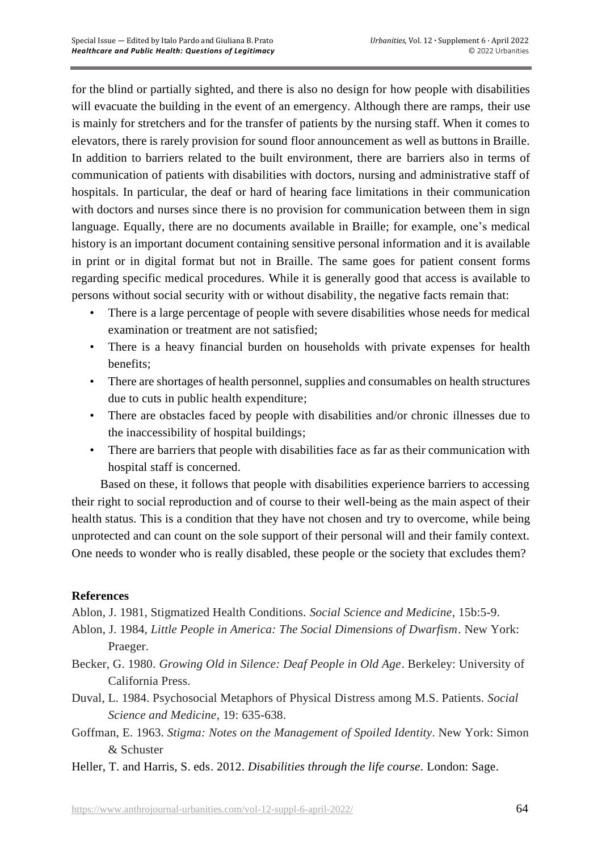for the blind or partially sighted, and there is also no design for how people with disabilities will evacuate the building in the event of an emergency. Although there are ramps, their use is mainly for stretchers and for the transfer of patients by the nursing staff. When it comes to elevators, there is rarely provision for sound floor announcement as well as buttons in Braille. In addition to barriers related to the built environment, there are barriers also in terms of communication of patients with disabilities with doctors, nursing and administrative staff of hospitals. In particular, the deaf or hard of hearing face limitations in their communication with doctors and nurses since there is no provision for communication between them in sign language. Equally, there are no documents available in Braille; for example, one's medical history is an important document containing sensitive personal information and it is available in print or in digital format but not in Braille. The same goes for patient consent forms regarding specific medical procedures. While it is generally good that access is available to persons without social security with or without disability, the negative facts remain that:

- There is a large percentage of people with severe disabilities whose needs for medical examination or treatment are not satisfied;
- There is a heavy financial burden on households with private expenses for health benefits;
- There are shortages of health personnel, supplies and consumables on health structures due to cuts in public health expenditure;
- There are obstacles faced by people with disabilities and/or chronic illnesses due to the inaccessibility of hospital buildings;
- There are barriers that people with disabilities face as far as their communication with hospital staff is concerned.

Based on these, it follows that people with disabilities experience barriers to accessing their right to social reproduction and of course to their well-being as the main aspect of their health status. This is a condition that they have not chosen and try to overcome, while being unprotected and can count on the sole support of their personal will and their family context. One needs to wonder who is really disabled, these people or the society that excludes them?

## **References**

Ablon, J. 1981, Stigmatized Health Conditions. *Social Science and Medicine*, 15b:5-9.

- Ablon, J. 1984, *Little People in America: The Social Dimensions of Dwarfism*. New York: Praeger.
- Becker, G. 1980. *Growing Old in Silence: Deaf People in Old Age*. Berkeley: University of California Press.
- Duval, L. 1984. Psychosocial Metaphors of Physical Distress among M.S. Patients. *Social Science and Medicine*, 19: 635-638.
- Goffman, E. 1963. *Stigma: Notes on the Management of Spoiled Identity*. New York: Simon & Schuster
- Heller, T. and Harris, S. eds. 2012. *Disabilities through the life course.* London: Sage.